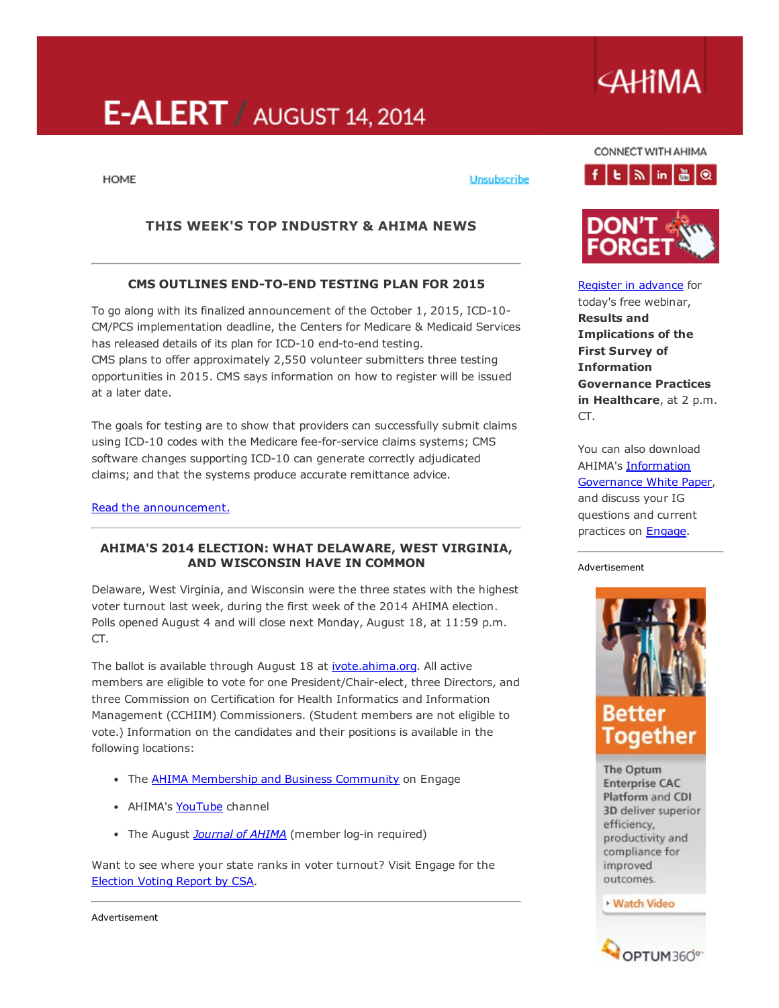# E-ALERT / AUGUST 14, 2014

**AHIMA** 

**HOME** 

# THIS WEEK'S TOP INDUSTRY & AHIMA NEWS

# CMS OUTLINES END-TO-END TESTING PLAN FOR 2015

To go along with its finalized announcement of the October 1, 2015, ICD-10-CM/PCS implementation deadline, the Centers for Medicare & Medicaid Services has released details of its plan for ICD-10 end-to-end testing. CMS plans to offer approximately 2,550 volunteer submitters three testing opportunities in 2015. CMS says information on how to register will be issued at a later date.

The goals for testing are to show that providers can successfully submit claims using ICD-10 codes with the Medicare fee-for-service claims systems; CMS software changes supporting ICD-10 can generate correctly adjudicated claims; and that the systems produce accurate remittance advice.

Read the [announcement.](http://www.cms.gov/Outreach-and-Education/Medicare-Learning-Network-MLN/MLNMattersArticles/Downloads/SE1409.pdf)

# AHIMA'S 2014 ELECTION: WHAT DELAWARE, WEST VIRGINIA, AND WISCONSIN HAVE IN COMMON

Delaware, West Virginia, and Wisconsin were the three states with the highest voter turnout last week, during the first week of the 2014 AHIMA election. Polls opened August 4 and will close next Monday, August 18, at 11:59 p.m. CT.

The ballot is available through August 18 at **ivote.ahima.org**. All active members are eligible to vote for one President/Chair-elect, three Directors, and three Commission on Certification for Health Informatics and Information Management (CCHIIM) Commissioners. (Student members are not eligible to vote.) Information on the candidates and their positions is available in the following locations:

- The **AHIMA [Membership](http://engage.ahima.org/communities/viewcommunities/groupdetails/?CommunityKey=93941d81-3fb0-4301-8fd0-81f6bce5889d) and Business Community** on Engage
- AHIMA's [YouTube](http://www.youtube.com/playlist?list=PLWM6ut6GB_tWJdmrQZGMEP-hh0g3qVHCU) channel
- The August *[Journal](http://www.ahimajournal-digital.com/ahimajournal/august_2014#pg59) of AHIMA* (member log-in required)

Want to see where your state ranks in voter turnout? Visit Engage for the [Election](http://engage.ahima.org/communities/resources/viewdocument/?DocumentKey=841428e6-f923-43d9-a787-c1e4659eb563) Voting Report by CSA.

CONNECT WITH AHIMA



Unsubscribe



Register in [advance](https://cc.readytalk.com/r/hp0tt4x2j5v8&eom) for today's free webinar, Results and Implications of the First Survey of Information Governance Practices in Healthcare, at 2 p.m. CT.

You can also download AHIMA's Information [Governance](http://research.zarca.com/survey.aspx?k=SsURPPsUPQsPsPsP&lang=0&data) White Paper, and discuss your IG questions and current practices on **Engage**.

#### Advertisement



The Optum **Enterprise CAC** Platform and CDI 3D deliver superior efficiency, productivity and compliance for improved outcomes.

**Watch Video** 



Advertisement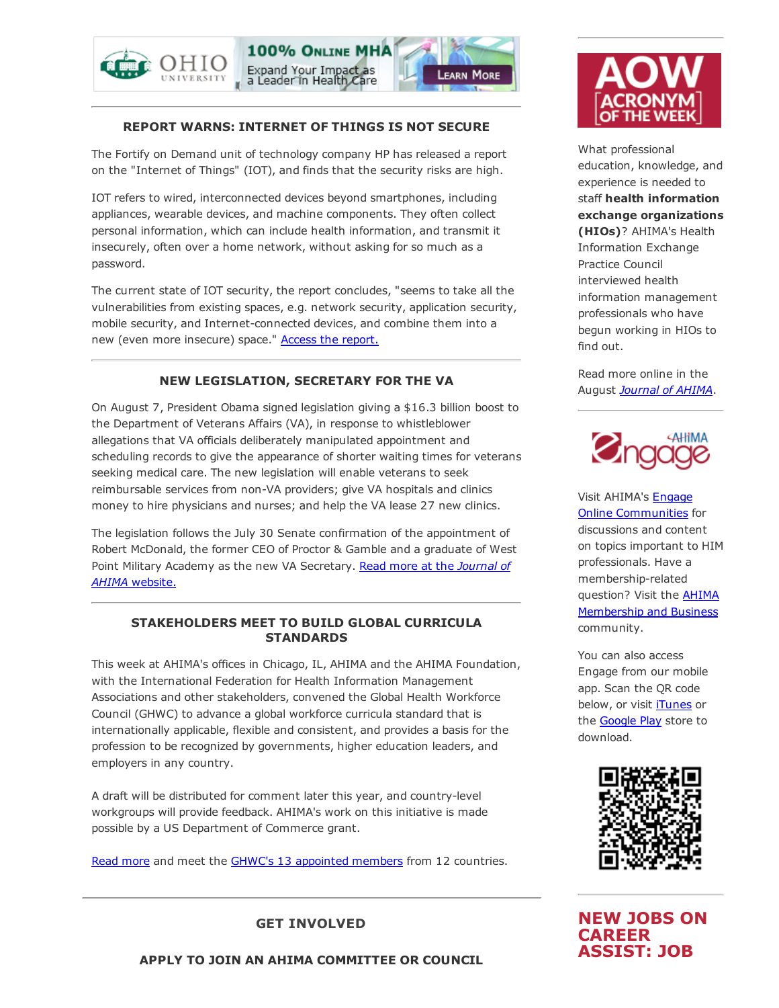





# REPORT WARNS: INTERNET OF THINGS IS NOT SECURE

The Fortify on Demand unit of technology company HP has released a report on the "Internet of Things" (IOT), and finds that the security risks are high.

IOT refers to wired, interconnected devices beyond smartphones, including appliances, wearable devices, and machine components. They often collect personal information, which can include health information, and transmit it insecurely, often over a home network, without asking for so much as a password.

The current state of IOT security, the report concludes, "seems to take all the vulnerabilities from existing spaces, e.g. network security, application security, mobile security, and Internet-connected devices, and combine them into a new (even more insecure) space." Access the [report.](http://fortifyprotect.com/HP_IoT_Research_Study.pdf)

# NEW LEGISLATION, SECRETARY FOR THE VA

On August 7, President Obama signed legislation giving a \$16.3 billion boost to the Department of Veterans Affairs (VA), in response to whistleblower allegations that VA officials deliberately manipulated appointment and scheduling records to give the appearance of shorter waiting times for veterans seeking medical care. The new legislation will enable veterans to seek reimbursable services from non-VA providers; give VA hospitals and clinics money to hire physicians and nurses; and help the VA lease 27 new clinics.

The legislation follows the July 30 Senate confirmation of the appointment of Robert McDonald, the former CEO of Proctor & Gamble and a graduate of West Point Military Academy as the new VA [Secretary.](http://journal.ahima.org/2014/08/13/obama-signs-va-overhaul-legislation-new-secretary-confirmed/) Read more at the *Journal of AHIMA* website.

# STAKEHOLDERS MEET TO BUILD GLOBAL CURRICULA **STANDARDS**

This week at AHIMA's offices in Chicago, IL, AHIMA and the AHIMA Foundation, with the International Federation for Health Information Management Associations and other stakeholders, convened the Global Health Workforce Council (GHWC) to advance a global workforce curricula standard that is internationally applicable, flexible and consistent, and provides a basis for the profession to be recognized by governments, higher education leaders, and employers in any country.

A draft will be distributed for comment later this year, and country-level workgroups will provide feedback. AHIMA's work on this initiative is made possible by a US Department of Commerce grant.

Read [more](http://www.ahima.org/~/media/AHIMA/Files/PR/N140808%20GHWC%20News%20Release%20FINAL.ashx) and meet the GHWC's 13 [appointed](http://www.ahima.org/about/global?tabid=council) members from 12 countries.



What professional education, knowledge, and experience is needed to staff health information exchange organizations (HIOs)? AHIMA's Health Information Exchange Practice Council interviewed health information management professionals who have begun working in HIOs to find out.

Read more online in the August *[Journal](http://library.ahima.org/xpedio/groups/public/documents/ahima/bok1_050726.hcsp?dDocName=bok1_050726) of AHIMA*.



Visit AHIMA's Engage Online [Communities](http://engage.ahima.org/) for discussions and content on topics important to HIM professionals. Have a membership-related question? Visit the **AHIMA** [Membership](http://engage.ahima.org/communities/viewcommunities/groupdetails/?CommunityKey=93941d81-3fb0-4301-8fd0-81f6bce5889d) and Business community.

You can also access Engage from our mobile app. Scan the QR code below, or visit [iTunes](https://itunes.apple.com/us/app/ahima-engage/id795420301?mt=8) or the **[Google](https://play.google.com/store/apps/details?id=net.rd.android.membercentric.ahima) Play** store to download.



NEW JOBS ON CAREER ASSIST: JOB

GET INVOLVED

APPLY TO JOIN AN AHIMA COMMITTEE OR COUNCIL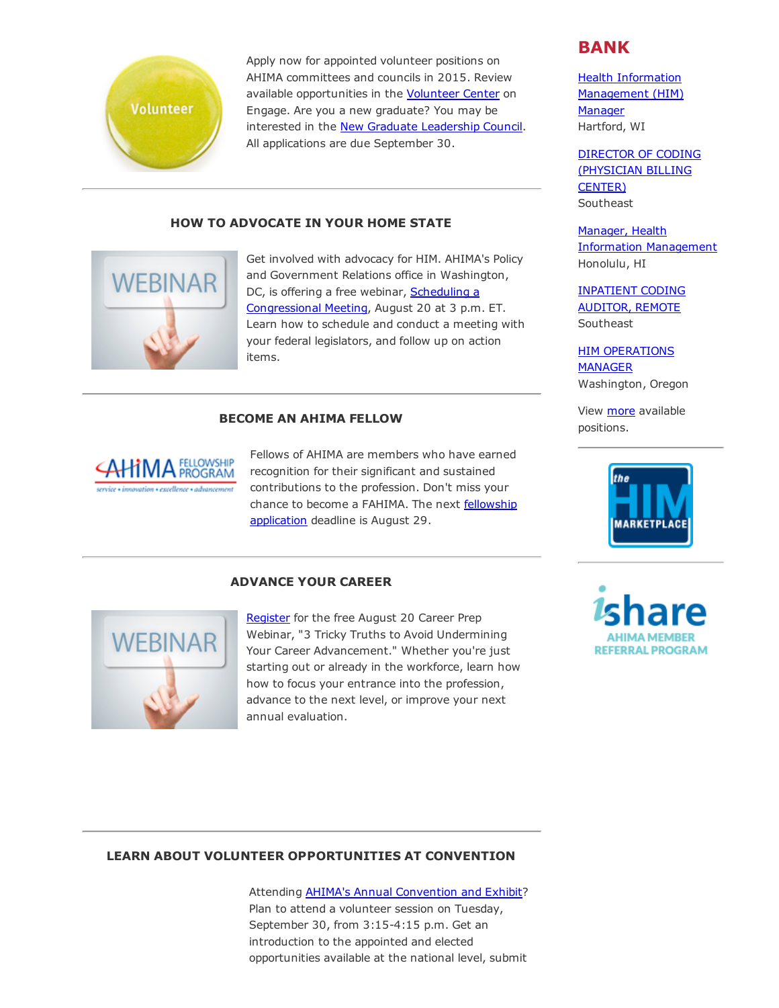

Apply now for appointed volunteer positions on AHIMA committees and councils in 2015. Review available opportunities in the [Volunteer](http://engage.ahima.org/volunteer/volunteeropportunities) Center on Engage. Are you a new graduate? You may be interested in the New Graduate [Leadership](http://engage.ahima.org/volunteer/newvolunteeropportunity/?VolunteerOpportunityKey=82ba3728-58c1-4d96-8366-32e31eed3624) Council. All applications are due September 30.

#### HOW TO ADVOCATE IN YOUR HOME STATE



Get involved with advocacy for HIM. AHIMA's Policy and Government Relations office in Washington, DC, is offering a free webinar, Scheduling a [Congressional](https://ahima.webex.com/ahima/j.php?ED=294550877&RG=1&UID=0&RT=MiMxMQ%3D%3D) Meeting, August 20 at 3 p.m. ET. Learn how to schedule and conduct a meeting with your federal legislators, and follow up on action items.

# BECOME AN AHIMA FELLOW



Fellows of AHIMA are members who have earned recognition for their significant and sustained contributions to the profession. Don't miss your chance to become a FAHIMA. The next fellowship [application](http://www.ahima.org/about/recognition?tabid=fellowship) deadline is August 29.

#### ADVANCE YOUR CAREER



[Register](https://cc.readytalk.com/r/44q8z0mt1dt3&eom) for the free August 20 Career Prep Webinar, "3 Tricky Truths to Avoid Undermining Your Career Advancement." Whether you're just starting out or already in the workforce, learn how how to focus your entrance into the profession, advance to the next level, or improve your next annual evaluation.

# BANK

Health Information [Management](http://careerassist.ahima.org/jobseeker/job/19558878/) (HIM) **Manager** Hartford, WI

DIRECTOR OF CODING [\(PHYSICIAN](http://careerassist.ahima.org/jobseeker/job/19559296/) BILLING CENTER) Southeast

Manager, Health Information [Management](http://careerassist.ahima.org/jobseeker/job/19319287/) Honolulu, HI

[INPATIENT](http://careerassist.ahima.org/jobseeker/job/19557658/) CODING AUDITOR, REMOTE **Southeast** 

**HIM [OPERATIONS](http://careerassist.ahima.org/jobseeker/job/19557843/)** MANAGER Washington, Oregon

View [more](http://careerassist.ahima.org/home/home.cfm?site_id=681) available positions.



**REFERRAL PROGRAM** 

#### LEARN ABOUT VOLUNTEER OPPORTUNITIES AT CONVENTION

Attending AHIMA's Annual [Convention](http://www.ahima.org/convention) and Exhibit? Plan to attend a volunteer session on Tuesday, September 30, from 3:15-4:15 p.m. Get an introduction to the appointed and elected opportunities available at the national level, submit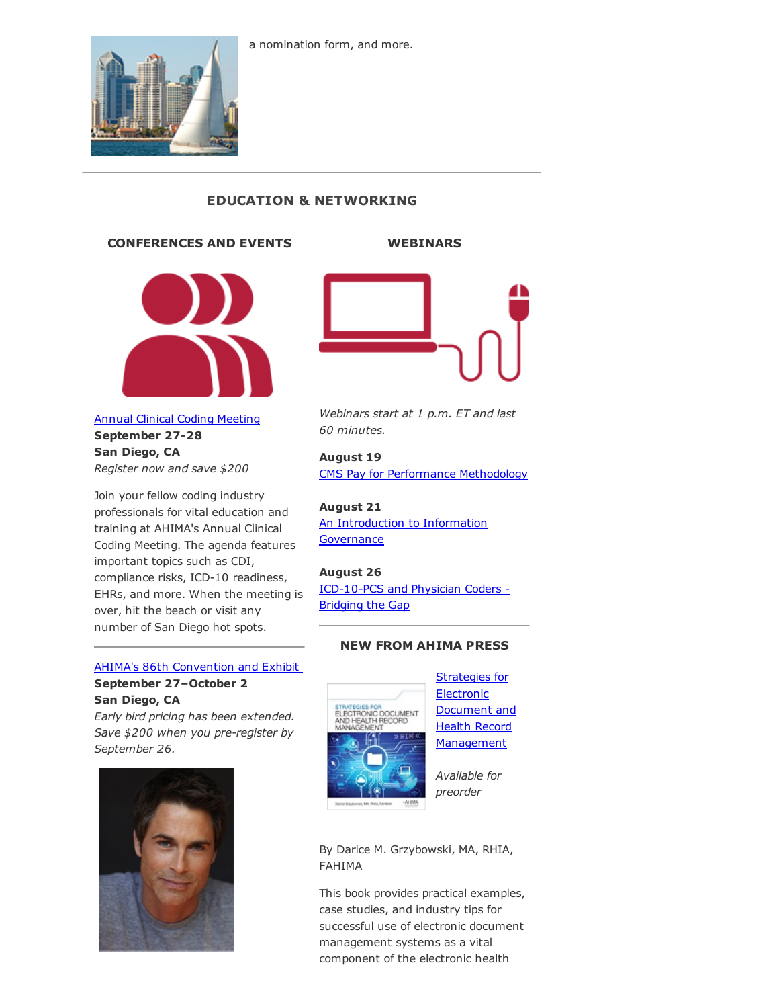

# EDUCATION & NETWORKING

#### CONFERENCES AND EVENTS



# Annual Clinical Coding [Meeting](http://www.ahima.org/events/2014Sept-clinicalcoding) September 27-28 San Diego, CA *Register now and save \$200*

Join your fellow coding industry professionals for vital education and training at AHIMA's Annual Clinical Coding Meeting. The agenda features important topics such as CDI, compliance risks, ICD-10 readiness, EHRs, and more. When the meeting is over, hit the beach or visit any number of San Diego hot spots.

# AHIMA's 86th [Convention](http://www.ahima.org/convention) and Exhibit September 27–October 2 San Diego, CA

*Early bird pricing has been extended. Save* \$200 when you pre-register by *September 26.*



# WEBINARS



*Webinars start at 1 p.m. ET and last 60 minutes.*

#### August 19

CMS Pay for [Performance](https://www.ahimastore.org/ProductDetailAudioSeminars.aspx?ProductID=17472) Methodology

#### August 21

An [Introduction](https://www.ahimastore.org/ProductDetailAudioSeminars.aspx?ProductID=17540) to Information **Governance** 

#### August 26

ICD-10-PCS and Physician Coders -Bridging the Gap

#### NEW FROM AHIMA PRESS



Strategies for **Electronic** Document and Health Record **[Management](https://www.ahimastore.org/ProductDetailBooks.aspx?ProductID=17550)** 

*Available for preorder*

By Darice M. Grzybowski, MA, RHIA, FAHIMA

This book provides practical examples, case studies, and industry tips for successful use of electronic document management systems as a vital component of the electronic health